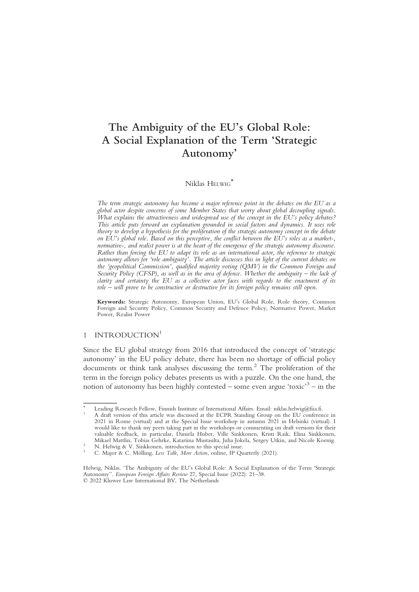# The Ambiguity of the EU's Global Role: A Social Explanation of the Term 'Strategic Autonomy'

## Niklas HELWIG<sup>\*</sup>

The term strategic autonomy has become a major reference point in the debates on the EU as a global actor despite concerns of some Member States that worry about global decoupling signals. What explains the attractiveness and widespread use of the concept in the EU's policy debates? This article puts forward an explanation grounded in social factors and dynamics. It uses role theory to develop a hypothesis for the proliferation of the strategic autonomy concept in the debate on EU's global role. Based on this perceptive, the conflict between the EU's roles as a market-, normative-, and realist power is at the heart of the emergence of the strategic autonomy discourse. Rather than forcing the EU to adapt its role as an international actor, the reference to strategic autonomy allows for 'role ambiguity'. The article discusses this in light of the current debates on the 'geopolitical Commission', qualified majority voting (QMV) in the Common Foreign and Security Policy (CFSP), as well as in the area of defence. Whether the ambiguity – the lack of clarity and certainty the EU as a collective actor faces with regards to the enactment of its role – will prove to be constructive or destructive for its foreign policy remains still open.

Keywords: Strategic Autonomy, European Union, EU's Global Role, Role theory, Common Foreign and Security Policy, Common Security and Defence Policy, Normative Power, Market Power, Realist Power

## 1 INTRODUCTION<sup>1</sup>

Since the EU global strategy from 2016 that introduced the concept of 'strategic autonomy' in the EU policy debate, there has been no shortage of official policy documents or think tank analyses discussing the term.<sup>2</sup> The proliferation of the term in the foreign policy debates presents us with a puzzle. On the one hand, the notion of autonomy has been highly contested – some even argue 'toxic'<sup>3</sup> – in the

Leading Research Fellow, Finnish Institute of International Affairs. Email: niklas.helwig@fiia.fi. A draft version of this article was discussed at the ECPR Standing Group on the EU conference in 2021 in Rome (virtual) and at the Special Issue workshop in autumn 2021 in Helsinki (virtual). I would like to thank my peers taking part in the workshops or commenting on draft versions for their valuable feedback, in particular, Daniela Huber, Ville Sinkkonen, Kristi Raik, Elina Sinkkonen, Mikael Mattlin, Tobias Gehrke, Katariina Mustasilta, Juha Jokela, Sergey Utkin, and Nicole Koenig.<br><sup>2</sup> N. Helwig & V. Sinkkonen, introduction to this special issue.<br><sup>3</sup> C. Major & C. Mölling, *Less Talk, More Action*, onli

Helwig, Niklas. 'The Ambiguity of the EU's Global Role: A Social Explanation of the Term 'Strategic Autonomy''. European Foreign Affairs Review 27, Special Issue (2022): 21–38. © 2022 Kluwer Law International BV, The Netherlands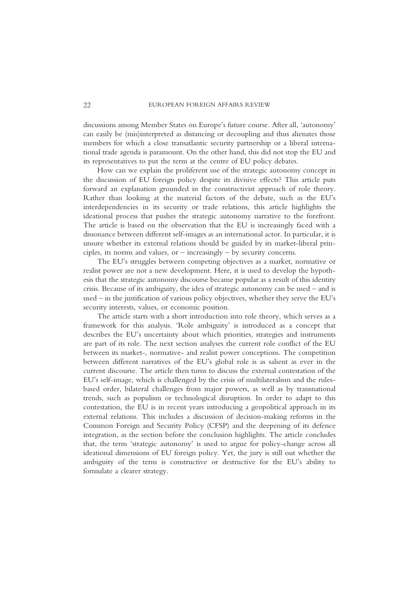discussions among Member States on Europe's future course. After all, 'autonomy' can easily be (mis)interpreted as distancing or decoupling and thus alienates those members for which a close transatlantic security partnership or a liberal international trade agenda is paramount. On the other hand, this did not stop the EU and its representatives to put the term at the centre of EU policy debates.

How can we explain the proliferent use of the strategic autonomy concept in the discussion of EU foreign policy despite its divisive effects? This article puts forward an explanation grounded in the constructivist approach of role theory. Rather than looking at the material factors of the debate, such as the EU's interdependencies in its security or trade relations, this article highlights the ideational process that pushes the strategic autonomy narrative to the forefront. The article is based on the observation that the EU is increasingly faced with a dissonance between different self-images as an international actor. In particular, it is unsure whether its external relations should be guided by its market-liberal principles, its norms and values, or  $-$  increasingly  $-$  by security concerns.

The EU's struggles between competing objectives as a market, normative or realist power are not a new development. Here, it is used to develop the hypothesis that the strategic autonomy discourse became popular as a result of this identity crisis. Because of its ambiguity, the idea of strategic autonomy can be used – and is used – in the justification of various policy objectives, whether they serve the EU's security interests, values, or economic position.

The article starts with a short introduction into role theory, which serves as a framework for this analysis. 'Role ambiguity' is introduced as a concept that describes the EU's uncertainty about which priorities, strategies and instruments are part of its role. The next section analyses the current role conflict of the EU between its market-, normative- and realist power conceptions. The competition between different narratives of the EU's global role is as salient as ever in the current discourse. The article then turns to discuss the external contestation of the EU's self-image, which is challenged by the crisis of multilateralism and the rulesbased order, bilateral challenges from major powers, as well as by transnational trends, such as populism or technological disruption. In order to adapt to this contestation, the EU is in recent years introducing a geopolitical approach in its external relations. This includes a discussion of decision-making reforms in the Common Foreign and Security Policy (CFSP) and the deepening of its defence integration, as the section before the conclusion highlights. The article concludes that, the term 'strategic autonomy' is used to argue for policy-change across all ideational dimensions of EU foreign policy. Yet, the jury is still out whether the ambiguity of the term is constructive or destructive for the EU's ability to formulate a clearer strategy.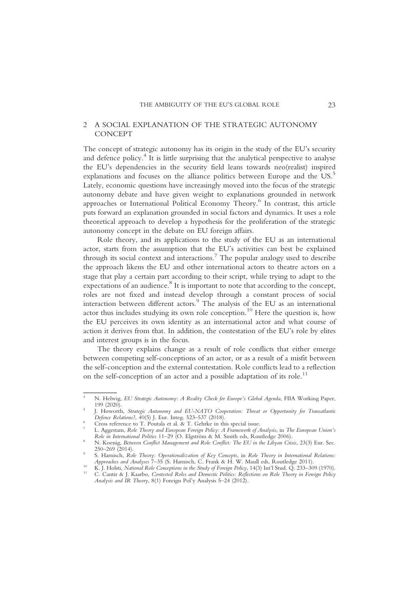## 2 A SOCIAL EXPLANATION OF THE STRATEGIC AUTONOMY **CONCEPT**

The concept of strategic autonomy has its origin in the study of the EU's security and defence policy.<sup>4</sup> It is little surprising that the analytical perspective to analyse the EU's dependencies in the security field leans towards neo(realist) inspired explanations and focuses on the alliance politics between Europe and the US.<sup>5</sup> Lately, economic questions have increasingly moved into the focus of the strategic autonomy debate and have given weight to explanations grounded in network approaches or International Political Economy Theory.<sup>6</sup> In contrast, this article puts forward an explanation grounded in social factors and dynamics. It uses a role theoretical approach to develop a hypothesis for the proliferation of the strategic autonomy concept in the debate on EU foreign affairs.

Role theory, and its applications to the study of the EU as an international actor, starts from the assumption that the EU's activities can best be explained through its social context and interactions.<sup>7</sup> The popular analogy used to describe the approach likens the EU and other international actors to theatre actors on a stage that play a certain part according to their script, while trying to adapt to the expectations of an audience. $8$  It is important to note that according to the concept, roles are not fixed and instead develop through a constant process of social interaction between different actors.9 The analysis of the EU as an international actor thus includes studying its own role conception.<sup>10</sup> Here the question is, how the EU perceives its own identity as an international actor and what course of action it derives from that. In addition, the contestation of the EU's role by elites and interest groups is in the focus.

The theory explains change as a result of role conflicts that either emerge between competing self-conceptions of an actor, or as a result of a misfit between the self-conception and the external contestation. Role conflicts lead to a reflection on the self-conception of an actor and a possible adaptation of its role.<sup>11</sup>

<sup>&</sup>lt;sup>4</sup> N. Helwig, *EU Strategic Autonomy: A Reality Check for Europe's Global Agenda*, FIIA Working Paper, 199 (2020).

J. Howorth, Strategic Autonomy and EU-NATO Cooperation: Threat or Opportunity for Transatlantic Defence Relations?, 40(5) J. Eur. Integ. 523–537 (2018).

<sup>&</sup>lt;sup>6</sup><br>Cross reference to T. Poutala et al. & T. Gehrke in this special issue.<br><sup>7</sup> L. Aggestam, *Role Theory and European Foreign Policy: A Framework of Analysis*, in *The European Union's*<br>*Role in International Politics* 11

N. Koenig, Between Conflict Management and Role Conflict: The EU in the Libyan Crisis, 23(3) Eur. Sec. 250–269 (2014).

<sup>&</sup>lt;sup>9</sup> S. Harnisch, *Role Theory: Operationalization of Key Concepts*, in *Role Theory in International Relations: Approaches and Analyses 7–35* (S. Harnisch, C. Frank & H. W. Maull eds, Routledge 2011).

<sup>&</sup>lt;sup>10</sup> K. J. Holsti, National Role Conceptions in the Study of Foreign Policy, 14(3) Int'l Stud. Q. 233–309 (1970).<br><sup>11</sup> C. Cantir & J. Kaarbo, Contested Roles and Domestic Politics: Reflections on Role Theory in Foreign Pol

Analysis and IR Theory, 8(1) Foreign Pol'y Analysis 5–24 (2012).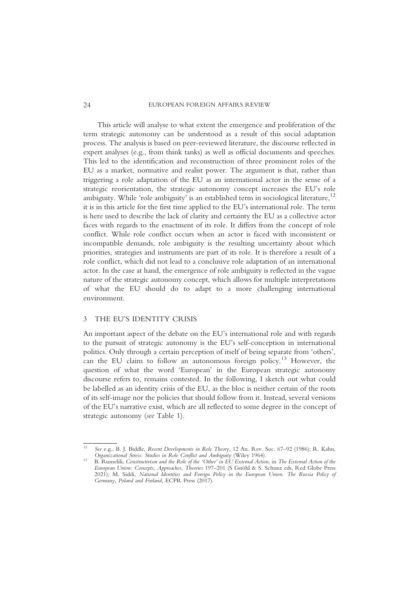24 EUROPEAN FOREIGN AFFAIRS REVIEW

This article will analyse to what extent the emergence and proliferation of the term strategic autonomy can be understood as a result of this social adaptation process. The analysis is based on peer-reviewed literature, the discourse reflected in expert analyses (e.g., from think tanks) as well as official documents and speeches. This led to the identification and reconstruction of three prominent roles of the EU as a market, normative and realist power. The argument is that, rather than triggering a role adaptation of the EU as an international actor in the sense of a strategic reorientation, the strategic autonomy concept increases the EU's role ambiguity. While 'role ambiguity' is an established term in sociological literature,<sup>12</sup> it is in this article for the first time applied to the EU's international role. The term is here used to describe the lack of clarity and certainty the EU as a collective actor faces with regards to the enactment of its role. It differs from the concept of role conflict. While role conflict occurs when an actor is faced with inconsistent or incompatible demands, role ambiguity is the resulting uncertainty about which priorities, strategies and instruments are part of its role. It is therefore a result of a role conflict, which did not lead to a conclusive role adaptation of an international actor. In the case at hand, the emergence of role ambiguity is reflected in the vague nature of the strategic autonomy concept, which allows for multiple interpretations of what the EU should do to adapt to a more challenging international environment.

### 3 THE EU'S IDENTITY CRISIS

An important aspect of the debate on the EU's international role and with regards to the pursuit of strategic autonomy is the EU's self-conception in international politics. Only through a certain perception of itself of being separate from 'others', can the EU claim to follow an autonomous foreign policy.13 However, the question of what the word 'European' in the European strategic autonomy discourse refers to, remains contested. In the following, I sketch out what could be labelled as an identity crisis of the EU, as the bloc is neither certain of the roots of its self-image nor the policies that should follow from it. Instead, several versions of the EU's narrative exist, which are all reflected to some degree in the concept of strategic autonomy (see Table 1).

<sup>&</sup>lt;sup>12</sup> See e.g., B. J. Biddle, Recent Developments in Role Theory, 12 An. Rev. Soc. 67–92 (1986); R. Kahn, Organizational Stress: Studies in Role Conflict and Ambiguity (Wiley 1964).

<sup>&</sup>lt;sup>13</sup> B. Rumelili, Constructivism and the Role of the 'Other' in EU External Action, in The External Action of the European Union: Concepts, Approaches, Theories 197–201 (S Gstöhl & S. Schunz eds, Red Globe Press 2021); M. Siddi, National Identities and Foreign Policy in the European Union. The Russia Policy of Germany, Poland and Finland, ECPR Press (2017).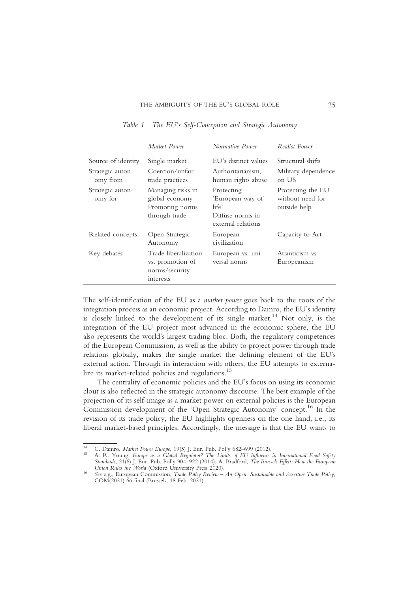|                              | Market Power                                                            | Normative Power                                                                   | Realist Power                                         |
|------------------------------|-------------------------------------------------------------------------|-----------------------------------------------------------------------------------|-------------------------------------------------------|
| Source of identity           | Single market                                                           | EU's distinct values                                                              | Structural shifts                                     |
| Strategic auton-<br>omy from | Coercion/unfair<br>trade practices                                      | Authoritarianism,<br>human rights abuse                                           | Military dependence<br>on US                          |
| Strategic auton-<br>omy for  | Managing risks in<br>global economy<br>Promoting norms<br>through trade | Protecting<br>'European way of<br>life'<br>Diffuse norms in<br>external relations | Protecting the EU<br>without need for<br>outside help |
| Related concepts             | Open Strategic<br>Autonomy                                              | European<br>civilization                                                          | Capacity to Act                                       |
| Key debates                  | Trade liberalization<br>vs. promotion of<br>norms/security<br>interests | European vs. uni-<br>versal norms                                                 | Atlanticism vs<br>Europeanism                         |

Table 1 The EU's Self-Conception and Strategic Autonomy

The self-identification of the EU as a market power goes back to the roots of the integration process as an economic project. According to Damro, the EU's identity is closely linked to the development of its single market.<sup>14</sup> Not only, is the integration of the EU project most advanced in the economic sphere, the EU also represents the world's largest trading bloc. Both, the regulatory competences of the European Commission, as well as the ability to project power through trade relations globally, makes the single market the defining element of the EU's external action. Through its interaction with others, the EU attempts to externalize its market-related policies and regulations.<sup>15</sup>

The centrality of economic policies and the EU's focus on using its economic clout is also reflected in the strategic autonomy discourse. The best example of the projection of its self-image as a market power on external policies is the European Commission development of the 'Open Strategic Autonomy' concept.<sup>16</sup> In the revision of its trade policy, the EU highlights openness on the one hand, i.e., its liberal market-based principles. Accordingly, the message is that the EU wants to

<sup>&</sup>lt;sup>14</sup> C. Damro, Market Power Europe, 19(5) J. Eur. Pub. Pol'y 682–699 (2012).<br><sup>15</sup> A. R. Young, *Europe as a Global Regulator? The Limits of EU Influence in International Food Safety* Standards, 21(6) J. Eur. Pub. Pol'y 904–922 (2014); A. Bradford, *The Brussels Effect: How the European Union Rules the World* (Oxford University Press 2020).

<sup>&</sup>lt;sup>16</sup> See e.g., European Commission, Trade Policy Review – An Open, Sustainable and Assertive Trade Policy, COM(2021) 66 final (Brussels, 18 Feb. 2021).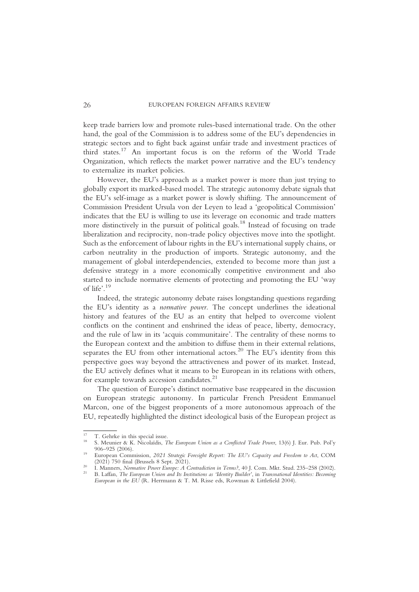keep trade barriers low and promote rules-based international trade. On the other hand, the goal of the Commission is to address some of the EU's dependencies in strategic sectors and to fight back against unfair trade and investment practices of third states.17 An important focus is on the reform of the World Trade Organization, which reflects the market power narrative and the EU's tendency to externalize its market policies.

However, the EU's approach as a market power is more than just trying to globally export its marked-based model. The strategic autonomy debate signals that the EU's self-image as a market power is slowly shifting. The announcement of Commission President Ursula von der Leyen to lead a 'geopolitical Commission' indicates that the EU is willing to use its leverage on economic and trade matters more distinctively in the pursuit of political goals.<sup>18</sup> Instead of focusing on trade liberalization and reciprocity, non-trade policy objectives move into the spotlight. Such as the enforcement of labour rights in the EU's international supply chains, or carbon neutrality in the production of imports. Strategic autonomy, and the management of global interdependencies, extended to become more than just a defensive strategy in a more economically competitive environment and also started to include normative elements of protecting and promoting the EU 'way of life'. 19

Indeed, the strategic autonomy debate raises longstanding questions regarding the EU's identity as a normative power. The concept underlines the ideational history and features of the EU as an entity that helped to overcome violent conflicts on the continent and enshrined the ideas of peace, liberty, democracy, and the rule of law in its 'acquis communitaire'. The centrality of these norms to the European context and the ambition to diffuse them in their external relations, separates the EU from other international actors.<sup>20</sup> The EU's identity from this perspective goes way beyond the attractiveness and power of its market. Instead, the EU actively defines what it means to be European in its relations with others, for example towards accession candidates.<sup>21</sup>

The question of Europe's distinct normative base reappeared in the discussion on European strategic autonomy. In particular French President Emmanuel Marcon, one of the biggest proponents of a more autonomous approach of the EU, repeatedly highlighted the distinct ideological basis of the European project as

<sup>&</sup>lt;sup>17</sup> T. Gehrke in this special issue.<br><sup>18</sup> S. Meunier & K. Nicolaïdis, *The European Union as a Conflicted Trade Power*, 13(6) J. Eur. Pub. Pol'y<br>906–925 (2006).

<sup>&</sup>lt;sup>19</sup> European Commission, 2021 Strategic Foresight Report: The EU's Capacity and Freedom to Act, COM (2021) 750 final (Brussels 8 Sept. 2021).

<sup>20 [2021] 130</sup> intain processes of Sept. 2021].<br>21 I. Manners, *Normative Power Europe: A Contradiction in Terms?*, 40 J. Com. Mkt. Stud. 235–258 (2002).<br><sup>21</sup> B. Laffan, *The European Union and Its Institutions as 'Identity* European in the EU (R. Herrmann & T. M. Risse eds, Rowman & Littlefield 2004).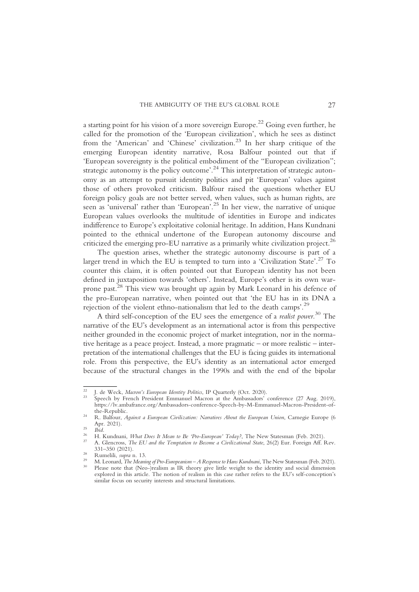a starting point for his vision of a more sovereign Europe.<sup>22</sup> Going even further, he called for the promotion of the 'European civilization', which he sees as distinct from the 'American' and 'Chinese' civilization.<sup>23</sup> In her sharp critique of the emerging European identity narrative, Rosa Balfour pointed out that if 'European sovereignty is the political embodiment of the "European civilization"; strategic autonomy is the policy outcome'.<sup>24</sup> This interpretation of strategic autonomy as an attempt to pursuit identity politics and pit 'European' values against those of others provoked criticism. Balfour raised the questions whether EU foreign policy goals are not better served, when values, such as human rights, are seen as 'universal' rather than 'European'. <sup>25</sup> In her view, the narrative of unique European values overlooks the multitude of identities in Europe and indicates indifference to Europe's exploitative colonial heritage. In addition, Hans Kundnani pointed to the ethnical undertone of the European autonomy discourse and criticized the emerging pro-EU narrative as a primarily white civilization project.<sup>26</sup>

The question arises, whether the strategic autonomy discourse is part of a larger trend in which the EU is tempted to turn into a 'Civilization State'.<sup>27</sup> To counter this claim, it is often pointed out that European identity has not been defined in juxtaposition towards 'others'. Instead, Europe's other is its own warprone past.28 This view was brought up again by Mark Leonard in his defence of the pro-European narrative, when pointed out that 'the EU has in its DNA a rejection of the violent ethno-nationalism that led to the death camps'.<sup>29</sup>

A third self-conception of the EU sees the emergence of a *realist power*.<sup>30</sup> The narrative of the EU's development as an international actor is from this perspective neither grounded in the economic project of market integration, nor in the normative heritage as a peace project. Instead, a more pragmatic – or more realistic – interpretation of the international challenges that the EU is facing guides its international role. From this perspective, the EU's identity as an international actor emerged because of the structural changes in the 1990s and with the end of the bipolar

<sup>&</sup>lt;sup>22</sup> J. de Weck, *Macron's European Identity Politics*, IP Quarterly (Oct. 2020).<br><sup>23</sup> Speech by French President Emmanuel Macron at the Ambassadors' conference (27 Aug. 2019), https://lv.ambafrance.org/Ambassadors-conference-Speech-by-M-Emmanuel-Macron-President-of-

<sup>&</sup>lt;sup>24</sup> R. Balfour, *Against a European Civilization: Narratives About the European Union*, Carnegie Europe (6<br>Apr. 2021).

Apr. 25 Ibid.<br>
26 H. Kundnani, *What Does It Mean to Be 'Pro-European' Today?*, The New Statesman (Feb. 2021).<br>
27 A. Glencross, *The EU and the Temptation to Become a Civilizational State*, 26(2) Eur. Foreign Aff. Rev.<br>

<sup>&</sup>lt;sup>28</sup> Rumelili, *supra* n. 13.<br><sup>29</sup> M. Leonard, *The Meaning of Pro-Europeanism – A Response to Hans Kundnani*, The New Statesman (Feb. 2021).<br><sup>30</sup> Please note that (Neo-)realism as IR theory give little weight to the iden

explored in this article. The notion of realism in this case rather refers to the EU's self-conception's similar focus on security interests and structural limitations.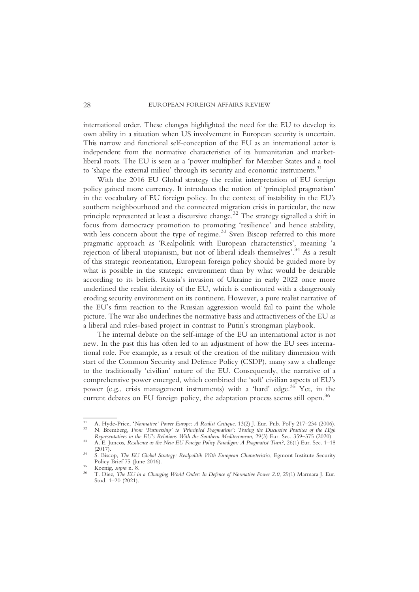international order. These changes highlighted the need for the EU to develop its own ability in a situation when US involvement in European security is uncertain. This narrow and functional self-conception of the EU as an international actor is independent from the normative characteristics of its humanitarian and marketliberal roots. The EU is seen as a 'power multiplier' for Member States and a tool to 'shape the external milieu' through its security and economic instruments.<sup>31</sup>

With the 2016 EU Global strategy the realist interpretation of EU foreign policy gained more currency. It introduces the notion of 'principled pragmatism' in the vocabulary of EU foreign policy. In the context of instability in the EU's southern neighbourhood and the connected migration crisis in particular, the new principle represented at least a discursive change.32 The strategy signalled a shift in focus from democracy promotion to promoting 'resilience' and hence stability, with less concern about the type of regime.<sup>33</sup> Sven Biscop referred to this more pragmatic approach as 'Realpolitik with European characteristics', meaning 'a rejection of liberal utopianism, but not of liberal ideals themselves'. <sup>34</sup> As a result of this strategic reorientation, European foreign policy should be guided more by what is possible in the strategic environment than by what would be desirable according to its beliefs. Russia's invasion of Ukraine in early 2022 once more underlined the realist identity of the EU, which is confronted with a dangerously eroding security environment on its continent. However, a pure realist narrative of the EU's firm reaction to the Russian aggression would fail to paint the whole picture. The war also underlines the normative basis and attractiveness of the EU as a liberal and rules-based project in contrast to Putin's strongman playbook.

The internal debate on the self-image of the EU an international actor is not new. In the past this has often led to an adjustment of how the EU sees international role. For example, as a result of the creation of the military dimension with start of the Common Security and Defence Policy (CSDP), many saw a challenge to the traditionally 'civilian' nature of the EU. Consequently, the narrative of a comprehensive power emerged, which combined the 'soft' civilian aspects of EU's power (e.g., crisis management instruments) with a 'hard' edge.<sup>35</sup> Yet, in the current debates on EU foreign policy, the adaptation process seems still open.<sup>36</sup>

<sup>&</sup>lt;sup>31</sup> A. Hyde-Price, 'Normative' Power Europe: A Realist Critique, 13(2) J. Eur. Pub. Pol'y 217–234 (2006).<br><sup>32</sup> N. Bremberg, From 'Partnership' to 'Principled Pragmatism': Tracing the Discursive Practices of the High<br>Repr

Representatives in the EU's Community With the Southern Mediterranean, 20(3) Eur. Sec. 359–375 (2020).<br>33 A. E. Juncos, Resilience as the New EU Foreign Policy Paradigm: A Pragmatist Turn?, 26(1) Eur. Sec. 1–18

<sup>(2017).&</sup>lt;br>34 S. Biscop, *The EU Global Strategy: Realpolitik With European Characteristics*, Egmont Institute Security<br>2016).

<sup>&</sup>lt;sup>35</sup> Koenig, supra n. 8.<br><sup>36</sup> T. Diez, *The EU in a Changing World Order: In Defence of Normative Power 2.0, 29(1) Marmara J. Eur.* Stud. 1–20 (2021).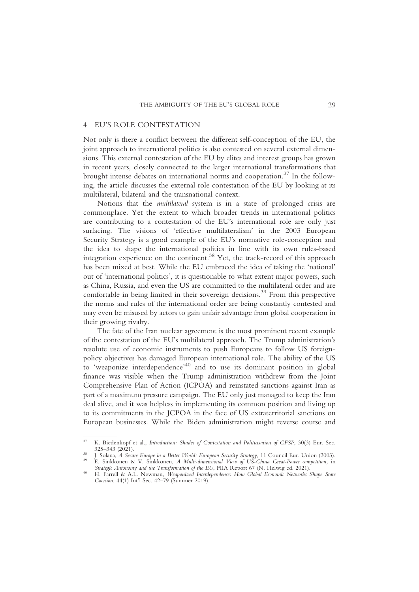#### EU'S ROLE CONTESTATION

Not only is there a conflict between the different self-conception of the EU, the joint approach to international politics is also contested on several external dimensions. This external contestation of the EU by elites and interest groups has grown in recent years, closely connected to the larger international transformations that brought intense debates on international norms and cooperation.37 In the following, the article discusses the external role contestation of the EU by looking at its multilateral, bilateral and the transnational context.

Notions that the multilateral system is in a state of prolonged crisis are commonplace. Yet the extent to which broader trends in international politics are contributing to a contestation of the EU's international role are only just surfacing. The visions of 'effective multilateralism' in the 2003 European Security Strategy is a good example of the EU's normative role-conception and the idea to shape the international politics in line with its own rules-based integration experience on the continent.<sup>38</sup> Yet, the track-record of this approach has been mixed at best. While the EU embraced the idea of taking the 'national' out of 'international politics', it is questionable to what extent major powers, such as China, Russia, and even the US are committed to the multilateral order and are comfortable in being limited in their sovereign decisions.<sup>39</sup> From this perspective the norms and rules of the international order are being constantly contested and may even be misused by actors to gain unfair advantage from global cooperation in their growing rivalry.

The fate of the Iran nuclear agreement is the most prominent recent example of the contestation of the EU's multilateral approach. The Trump administration's resolute use of economic instruments to push Europeans to follow US foreignpolicy objectives has damaged European international role. The ability of the US to 'weaponize interdependence'<sup>40</sup> and to use its dominant position in global finance was visible when the Trump administration withdrew from the Joint Comprehensive Plan of Action (JCPOA) and reinstated sanctions against Iran as part of a maximum pressure campaign. The EU only just managed to keep the Iran deal alive, and it was helpless in implementing its common position and living up to its commitments in the JCPOA in the face of US extraterritorial sanctions on European businesses. While the Biden administration might reverse course and

<sup>&</sup>lt;sup>37</sup> K. Biedenkopf et al., *Introduction: Shades of Contestation and Politicisation of CFSP*, 30(3) Eur. Sec. 325–343 (2021).

<sup>&</sup>lt;sup>33</sup> J. Solana, *A Secure Europe in a Better World: European Security Strategy*, 11 Council Eur. Union (2003).<br><sup>39</sup> E. Sinkkonen & V. Sinkkonen, *A Multi-dimensional View of US-China Great-Power competition*, in *Strategic* 

<sup>&</sup>lt;sup>40</sup> H. Farrell & A.L. Newman, *Weaponized Interdependence: How Global Economic Networks Shape State* Coercion, 44(1) Int'l Sec. 42–79 (Summer 2019).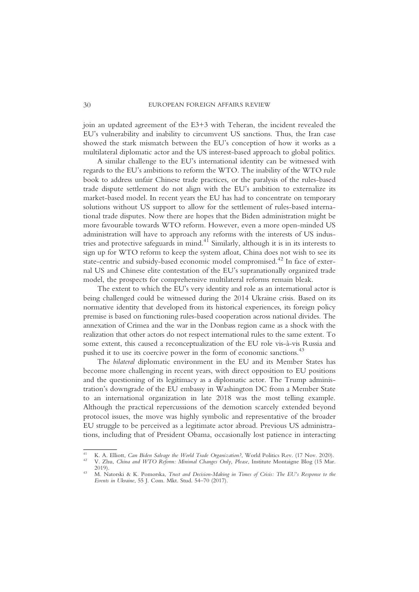join an updated agreement of the E3+3 with Teheran, the incident revealed the EU's vulnerability and inability to circumvent US sanctions. Thus, the Iran case showed the stark mismatch between the EU's conception of how it works as a multilateral diplomatic actor and the US interest-based approach to global politics.

A similar challenge to the EU's international identity can be witnessed with regards to the EU's ambitions to reform the WTO. The inability of the WTO rule book to address unfair Chinese trade practices, or the paralysis of the rules-based trade dispute settlement do not align with the EU's ambition to externalize its market-based model. In recent years the EU has had to concentrate on temporary solutions without US support to allow for the settlement of rules-based international trade disputes. Now there are hopes that the Biden administration might be more favourable towards WTO reform. However, even a more open-minded US administration will have to approach any reforms with the interests of US industries and protective safeguards in mind.<sup>41</sup> Similarly, although it is in its interests to sign up for WTO reform to keep the system afloat, China does not wish to see its state-centric and subsidy-based economic model compromised.<sup>42</sup> In face of external US and Chinese elite contestation of the EU's supranationally organized trade model, the prospects for comprehensive multilateral reforms remain bleak.

The extent to which the EU's very identity and role as an international actor is being challenged could be witnessed during the 2014 Ukraine crisis. Based on its normative identity that developed from its historical experiences, its foreign policy premise is based on functioning rules-based cooperation across national divides. The annexation of Crimea and the war in the Donbass region came as a shock with the realization that other actors do not respect international rules to the same extent. To some extent, this caused a reconceptualization of the EU role vis-à-vis Russia and pushed it to use its coercive power in the form of economic sanctions.<sup>43</sup>

The bilateral diplomatic environment in the EU and its Member States has become more challenging in recent years, with direct opposition to EU positions and the questioning of its legitimacy as a diplomatic actor. The Trump administration's downgrade of the EU embassy in Washington DC from a Member State to an international organization in late 2018 was the most telling example. Although the practical repercussions of the demotion scarcely extended beyond protocol issues, the move was highly symbolic and representative of the broader EU struggle to be perceived as a legitimate actor abroad. Previous US administrations, including that of President Obama, occasionally lost patience in interacting

<sup>&</sup>lt;sup>41</sup> K. A. Elliott, *Can Biden Salvage the World Trade Organization?*, World Politics Rev. (17 Nov. 2020).<br><sup>42</sup> V. Zhu, *China and WTO Reform: Minimal Changes Only, Please*, Institute Montaigne Blog (15 Mar. 2019).

<sup>&</sup>lt;sup>43</sup> M. Natorski & K. Pomorska, *Trust and Decision-Making in Times of Crisis: The EU's Response to the* Events in Ukraine, 55 J. Com. Mkt. Stud. 54–70 (2017).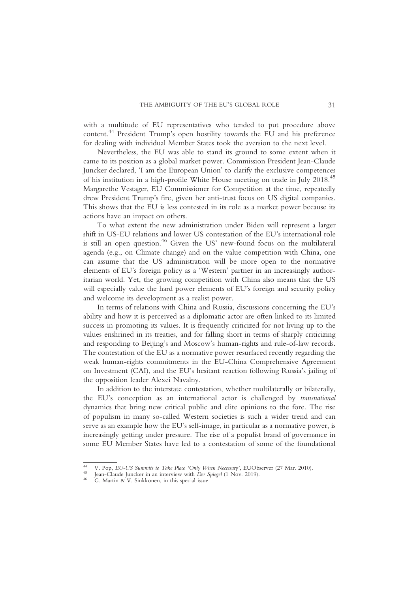with a multitude of EU representatives who tended to put procedure above content.44 President Trump's open hostility towards the EU and his preference for dealing with individual Member States took the aversion to the next level.

Nevertheless, the EU was able to stand its ground to some extent when it came to its position as a global market power. Commission President Jean-Claude Juncker declared, 'I am the European Union' to clarify the exclusive competences of his institution in a high-profile White House meeting on trade in July 2018.45 Margarethe Vestager, EU Commissioner for Competition at the time, repeatedly drew President Trump's fire, given her anti-trust focus on US digital companies. This shows that the EU is less contested in its role as a market power because its actions have an impact on others.

To what extent the new administration under Biden will represent a larger shift in US-EU relations and lower US contestation of the EU's international role is still an open question.<sup>46</sup> Given the US' new-found focus on the multilateral agenda (e.g., on Climate change) and on the value competition with China, one can assume that the US administration will be more open to the normative elements of EU's foreign policy as a 'Western' partner in an increasingly authoritarian world. Yet, the growing competition with China also means that the US will especially value the hard power elements of EU's foreign and security policy and welcome its development as a realist power.

In terms of relations with China and Russia, discussions concerning the EU's ability and how it is perceived as a diplomatic actor are often linked to its limited success in promoting its values. It is frequently criticized for not living up to the values enshrined in its treaties, and for falling short in terms of sharply criticizing and responding to Beijing's and Moscow's human-rights and rule-of-law records. The contestation of the EU as a normative power resurfaced recently regarding the weak human-rights commitments in the EU-China Comprehensive Agreement on Investment (CAI), and the EU's hesitant reaction following Russia's jailing of the opposition leader Alexei Navalny.

In addition to the interstate contestation, whether multilaterally or bilaterally, the EU's conception as an international actor is challenged by transnational dynamics that bring new critical public and elite opinions to the fore. The rise of populism in many so-called Western societies is such a wider trend and can serve as an example how the EU's self-image, in particular as a normative power, is increasingly getting under pressure. The rise of a populist brand of governance in some EU Member States have led to a contestation of some of the foundational

<sup>44</sup> V. Pop, EU-US Summits to Take Place 'Only When Necessary', EUObserver (27 Mar. 2010).<br>45 Jean-Claude Juncker in an interview with Der Spiegel (1 Nov. 2019).<br>46 G. Martin & V. Sinkkonen, in this special issue.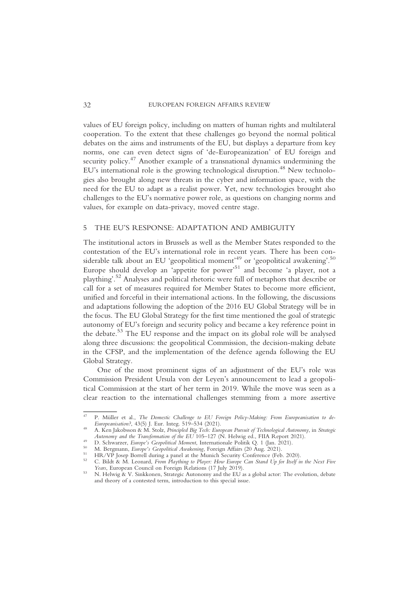values of EU foreign policy, including on matters of human rights and multilateral cooperation. To the extent that these challenges go beyond the normal political debates on the aims and instruments of the EU, but displays a departure from key norms, one can even detect signs of 'de-Europeanization' of EU foreign and security policy.<sup>47</sup> Another example of a transnational dynamics undermining the EU's international role is the growing technological disruption.<sup>48</sup> New technologies also brought along new threats in the cyber and information space, with the need for the EU to adapt as a realist power. Yet, new technologies brought also challenges to the EU's normative power role, as questions on changing norms and values, for example on data-privacy, moved centre stage.

### 5 THE EU'S RESPONSE: ADAPTATION AND AMBIGUITY

The institutional actors in Brussels as well as the Member States responded to the contestation of the EU's international role in recent years. There has been considerable talk about an EU 'geopolitical moment'<sup>49</sup> or 'geopolitical awakening'.<sup>50</sup> Europe should develop an 'appetite for power' <sup>51</sup> and become 'a player, not a plaything'. <sup>52</sup> Analyses and political rhetoric were full of metaphors that describe or call for a set of measures required for Member States to become more efficient, unified and forceful in their international actions. In the following, the discussions and adaptations following the adoption of the 2016 EU Global Strategy will be in the focus. The EU Global Strategy for the first time mentioned the goal of strategic autonomy of EU's foreign and security policy and became a key reference point in the debate.<sup>53</sup> The EU response and the impact on its global role will be analysed along three discussions: the geopolitical Commission, the decision-making debate in the CFSP, and the implementation of the defence agenda following the EU Global Strategy.

One of the most prominent signs of an adjustment of the EU's role was Commission President Ursula von der Leyen's announcement to lead a geopolitical Commission at the start of her term in 2019. While the move was seen as a clear reaction to the international challenges stemming from a more assertive

<sup>&</sup>lt;sup>47</sup> P. Müller et al., *The Domestic Challenge to EU Foreign Policy-Making: From Europeanisation to de-*<br>Europeanisation?, 43(5) J. Eur. Integ. 519–534 (2021).

<sup>&</sup>lt;sup>48</sup> A. Ken Jakobsson & M. Stolz, Principled Big Tech: European Pursuit of Technological Autonomy, in Strategic Autonomy and the Transformation of the EU 105–127 (N. Helwig ed., FIIA Report 2021).

<sup>&</sup>lt;sup>49</sup> D. Schwarzer, *Europe's Geopolitical Moment*, Internationale Politik Q. 1 (Jan. 2021).<br><sup>50</sup> D. Schwarzer, *Europe's Geopolitical Moment*, Internationale Politik Q. 1 (Jan. 2021).<br><sup>51</sup> HR/VP Josep Borrell during a pane

<sup>53</sup> N. Helwig & V. Sinkkonen, Strategic Autonomy and the EU as a global actor: The evolution, debate and theory of a contested term, introduction to this special issue.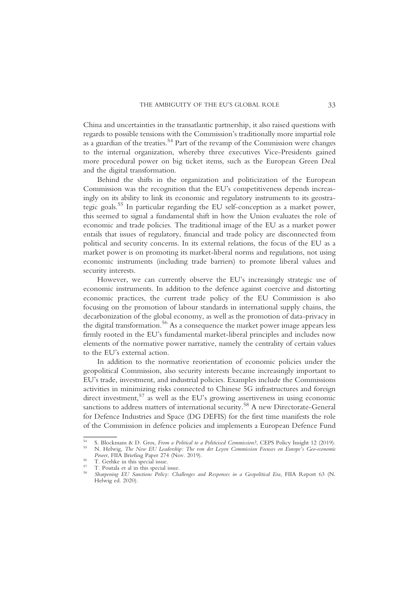China and uncertainties in the transatlantic partnership, it also raised questions with regards to possible tensions with the Commission's traditionally more impartial role as a guardian of the treaties.54 Part of the revamp of the Commission were changes to the internal organization, whereby three executives Vice-Presidents gained more procedural power on big ticket items, such as the European Green Deal and the digital transformation.

Behind the shifts in the organization and politicization of the European Commission was the recognition that the EU's competitiveness depends increasingly on its ability to link its economic and regulatory instruments to its geostrategic goals.<sup>55</sup> In particular regarding the EU self-conception as a market power, this seemed to signal a fundamental shift in how the Union evaluates the role of economic and trade policies. The traditional image of the EU as a market power entails that issues of regulatory, financial and trade policy are disconnected from political and security concerns. In its external relations, the focus of the EU as a market power is on promoting its market-liberal norms and regulations, not using economic instruments (including trade barriers) to promote liberal values and security interests.

However, we can currently observe the EU's increasingly strategic use of economic instruments. In addition to the defence against coercive and distorting economic practices, the current trade policy of the EU Commission is also focusing on the promotion of labour standards in international supply chains, the decarbonization of the global economy, as well as the promotion of data-privacy in the digital transformation.<sup>56</sup> As a consequence the market power image appears less firmly rooted in the EU's fundamental market-liberal principles and includes now elements of the normative power narrative, namely the centrality of certain values to the EU's external action.

In addition to the normative reorientation of economic policies under the geopolitical Commission, also security interests became increasingly important to EU's trade, investment, and industrial policies. Examples include the Commissions activities in minimizing risks connected to Chinese 5G infrastructures and foreign direct investment,<sup>57</sup> as well as the EU's growing assertiveness in using economic sanctions to address matters of international security.<sup>58</sup> A new Directorate-General for Defence Industries and Space (DG DEFIS) for the first time manifests the role of the Commission in defence policies and implements a European Defence Fund

<sup>54</sup> S. Blockmans & D. Gros, From a Political to a Politicised Commission?, CEPS Policy Insight 12 (2019).<br>55 N. Helwig, *The New EU Leadership: The von der Leyen Commission Focuses on Europe's Geo-economic*<br>*Power*, FIIA Br

Power, FIIA Briefing Paper 274 (Nov. 2019).<br>
56 T. Gerhke in this special issue.<br>
58 Sharpening EU Sanctions Policy: Challenges and Responses in a Geopolitical Era, FIIA Report 63 (N. Helwig ed. 2020).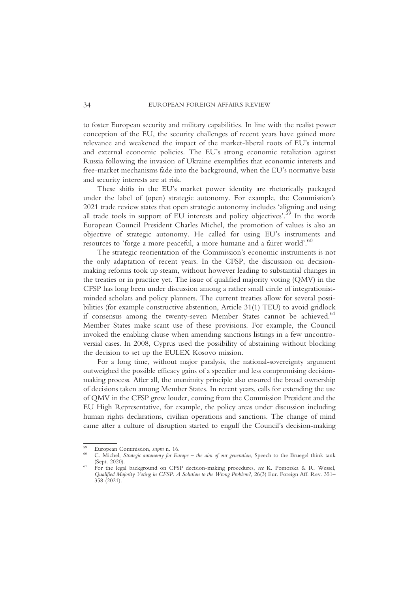to foster European security and military capabilities. In line with the realist power conception of the EU, the security challenges of recent years have gained more relevance and weakened the impact of the market-liberal roots of EU's internal and external economic policies. The EU's strong economic retaliation against Russia following the invasion of Ukraine exemplifies that economic interests and free-market mechanisms fade into the background, when the EU's normative basis and security interests are at risk.

These shifts in the EU's market power identity are rhetorically packaged under the label of (open) strategic autonomy. For example, the Commission's 2021 trade review states that open strategic autonomy includes 'aligning and using all trade tools in support of EU interests and policy objectives'.<sup>59</sup> In the words European Council President Charles Michel, the promotion of values is also an objective of strategic autonomy. He called for using EU's instruments and resources to 'forge a more peaceful, a more humane and a fairer world'. 60

The strategic reorientation of the Commission's economic instruments is not the only adaptation of recent years. In the CFSP, the discussion on decisionmaking reforms took up steam, without however leading to substantial changes in the treaties or in practice yet. The issue of qualified majority voting (QMV) in the CFSP has long been under discussion among a rather small circle of integrationistminded scholars and policy planners. The current treaties allow for several possibilities (for example constructive abstention, Article 31(1) TEU) to avoid gridlock if consensus among the twenty-seven Member States cannot be achieved.<sup>61</sup> Member States make scant use of these provisions. For example, the Council invoked the enabling clause when amending sanctions listings in a few uncontroversial cases. In 2008, Cyprus used the possibility of abstaining without blocking the decision to set up the EULEX Kosovo mission.

For a long time, without major paralysis, the national-sovereignty argument outweighed the possible efficacy gains of a speedier and less compromising decisionmaking process. After all, the unanimity principle also ensured the broad ownership of decisions taken among Member States. In recent years, calls for extending the use of QMV in the CFSP grew louder, coming from the Commission President and the EU High Representative, for example, the policy areas under discussion including human rights declarations, civilian operations and sanctions. The change of mind came after a culture of disruption started to engulf the Council's decision-making

<sup>&</sup>lt;sup>59</sup> European Commission, *supra* n. 16.<br><sup>60</sup> C. Michel, *Strategic autonomy for Europe* – *the aim of our generation*, Speech to the Bruegel think tank (Sept. 2020).

<sup>(</sup>Sept. 2020). <sup>61</sup> For the legal background on CFSP decision-making procedures, see K. Pomorska & R. Wessel, Qualified Majority Voting in CFSP: A Solution to the Wrong Problem?, 26(3) Eur. Foreign Aff. Rev. 351– 358 (2021).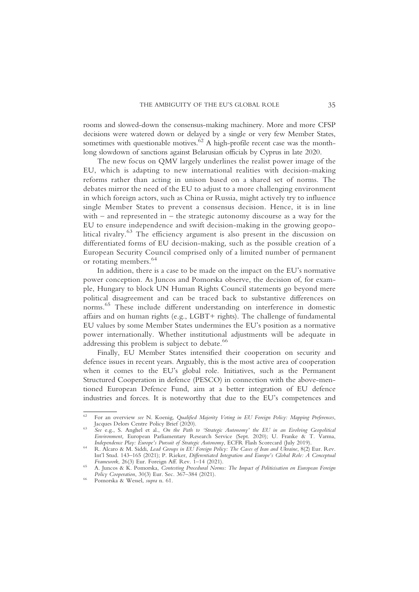rooms and slowed-down the consensus-making machinery. More and more CFSP decisions were watered down or delayed by a single or very few Member States, sometimes with questionable motives.<sup> $62$ </sup> A high-profile recent case was the monthlong slowdown of sanctions against Belarusian officials by Cyprus in late 2020.

The new focus on QMV largely underlines the realist power image of the EU, which is adapting to new international realities with decision-making reforms rather than acting in unison based on a shared set of norms. The debates mirror the need of the EU to adjust to a more challenging environment in which foreign actors, such as China or Russia, might actively try to influence single Member States to prevent a consensus decision. Hence, it is in line with – and represented in – the strategic autonomy discourse as a way for the EU to ensure independence and swift decision-making in the growing geopolitical rivalry.<sup>63</sup> The efficiency argument is also present in the discussion on differentiated forms of EU decision-making, such as the possible creation of a European Security Council comprised only of a limited number of permanent or rotating members.<sup>64</sup>

In addition, there is a case to be made on the impact on the EU's normative power conception. As Juncos and Pomorska observe, the decision of, for example, Hungary to block UN Human Rights Council statements go beyond mere political disagreement and can be traced back to substantive differences on norms. <sup>65</sup> These include different understanding on interference in domestic affairs and on human rights (e.g., LGBT+ rights). The challenge of fundamental EU values by some Member States undermines the EU's position as a normative power internationally. Whether institutional adjustments will be adequate in addressing this problem is subject to debate.<sup>66</sup>

Finally, EU Member States intensified their cooperation on security and defence issues in recent years. Arguably, this is the most active area of cooperation when it comes to the EU's global role. Initiatives, such as the Permanent Structured Cooperation in defence (PESCO) in connection with the above-mentioned European Defence Fund, aim at a better integration of EU defence industries and forces. It is noteworthy that due to the EU's competences and

<sup>&</sup>lt;sup>62</sup> For an overview see N. Koenig, Qualified Majority Voting in EU Foreign Policy: Mapping Preferences, Jacques Delors Centre Policy Brief (2020).

Jacques Delors Centre Policy Brief (2020).<br><sup>63</sup> See e.g., S. Anghel et al., *On the Path to 'Strategic Autonomy' the EU in an Evolving Geopolitical* Environment, European Parliamentary Research Service (Sept. 2020); U. Franke & T. Varma, Independence Play: Europe's Pursuit of Strategic Autonomy, ECFR Flash Scorecard (July 2019).<br><sup>64</sup> R. Alcaro & M. Siddi, *Lead Groups in EU Foreign Policy: The Cases of Iran and Ukraine*, 8(2) Eur. Rev.

Int'l Stud. 143–165 (2021); P. Rieker, Differentiated Integration and Europe's Global Role: A Conceptual Framework, 26(3) Eur. Foreign Aff. Rev. 1–14 (2021).

Framework, 265 A. Juncos & K. Pomorska, Contesting Procedural Norms: The Impact of Politicisation on European Foreign Policy Cooperation, 30(3) Eur. Sec. 367–384 (2021).

<sup>&</sup>lt;sup>66</sup> Pomorska & Wessel, supra n. 61.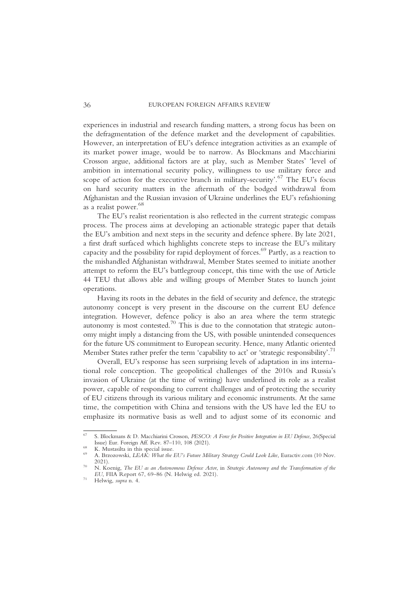experiences in industrial and research funding matters, a strong focus has been on the defragmentation of the defence market and the development of capabilities. However, an interpretation of EU's defence integration activities as an example of its market power image, would be to narrow. As Blockmans and Macchiarini Crosson argue, additional factors are at play, such as Member States' 'level of ambition in international security policy, willingness to use military force and scope of action for the executive branch in military-security'. <sup>67</sup> The EU's focus on hard security matters in the aftermath of the bodged withdrawal from Afghanistan and the Russian invasion of Ukraine underlines the EU's refashioning as a realist power.<sup>68</sup>

The EU's realist reorientation is also reflected in the current strategic compass process. The process aims at developing an actionable strategic paper that details the EU's ambition and next steps in the security and defence sphere. By late 2021, a first draft surfaced which highlights concrete steps to increase the EU's military capacity and the possibility for rapid deployment of forces.69 Partly, as a reaction to the mishandled Afghanistan withdrawal, Member States seemed to initiate another attempt to reform the EU's battlegroup concept, this time with the use of Article 44 TEU that allows able and willing groups of Member States to launch joint operations.

Having its roots in the debates in the field of security and defence, the strategic autonomy concept is very present in the discourse on the current EU defence integration. However, defence policy is also an area where the term strategic autonomy is most contested.<sup>70</sup> This is due to the connotation that strategic autonomy might imply a distancing from the US, with possible unintended consequences for the future US commitment to European security. Hence, many Atlantic oriented Member States rather prefer the term 'capability to act' or 'strategic responsibility'.<sup>71</sup>

Overall, EU's response has seen surprising levels of adaptation in ins international role conception. The geopolitical challenges of the 2010s and Russia's invasion of Ukraine (at the time of writing) have underlined its role as a realist power, capable of responding to current challenges and of protecting the security of EU citizens through its various military and economic instruments. At the same time, the competition with China and tensions with the US have led the EU to emphasize its normative basis as well and to adjust some of its economic and

<sup>&</sup>lt;sup>67</sup> S. Blockmans & D. Macchiarini Crosson, *PESCO: A Force for Positive Integration in EU Defence*, 26(Special Issue) Eur. Foreign Aff. Rev. 87–110, 108 (2021).

<sup>&</sup>lt;sup>68</sup> K. Mustasilta in this special issue.<br><sup>69</sup> A. Brzozowski, *LEAK: What the EU's Future Military Strategy Could Look Like*, Euractiv.com (10 Nov.<br>2021)

 $^{70}$  N. Koenig, The EU as an Autonomous Defence Actor, in Strategic Autonomy and the Transformation of the EU, FIIA Report 67, 69–86 (N. Helwig ed. 2021). <sup>71</sup> Helwig, supra n. 4.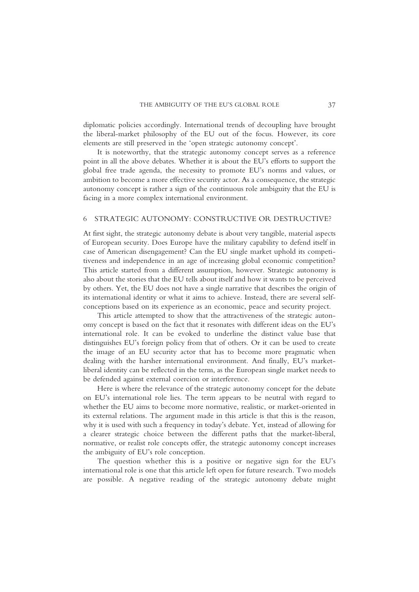diplomatic policies accordingly. International trends of decoupling have brought the liberal-market philosophy of the EU out of the focus. However, its core elements are still preserved in the 'open strategic autonomy concept'.

It is noteworthy, that the strategic autonomy concept serves as a reference point in all the above debates. Whether it is about the EU's efforts to support the global free trade agenda, the necessity to promote EU's norms and values, or ambition to become a more effective security actor. As a consequence, the strategic autonomy concept is rather a sign of the continuous role ambiguity that the EU is facing in a more complex international environment.

#### 6 STRATEGIC AUTONOMY: CONSTRUCTIVE OR DESTRUCTIVE?

At first sight, the strategic autonomy debate is about very tangible, material aspects of European security. Does Europe have the military capability to defend itself in case of American disengagement? Can the EU single market uphold its competitiveness and independence in an age of increasing global economic competition? This article started from a different assumption, however. Strategic autonomy is also about the stories that the EU tells about itself and how it wants to be perceived by others. Yet, the EU does not have a single narrative that describes the origin of its international identity or what it aims to achieve. Instead, there are several selfconceptions based on its experience as an economic, peace and security project.

This article attempted to show that the attractiveness of the strategic autonomy concept is based on the fact that it resonates with different ideas on the EU's international role. It can be evoked to underline the distinct value base that distinguishes EU's foreign policy from that of others. Or it can be used to create the image of an EU security actor that has to become more pragmatic when dealing with the harsher international environment. And finally, EU's marketliberal identity can be reflected in the term, as the European single market needs to be defended against external coercion or interference.

Here is where the relevance of the strategic autonomy concept for the debate on EU's international role lies. The term appears to be neutral with regard to whether the EU aims to become more normative, realistic, or market-oriented in its external relations. The argument made in this article is that this is the reason, why it is used with such a frequency in today's debate. Yet, instead of allowing for a clearer strategic choice between the different paths that the market-liberal, normative, or realist role concepts offer, the strategic autonomy concept increases the ambiguity of EU's role conception.

The question whether this is a positive or negative sign for the EU's international role is one that this article left open for future research. Two models are possible. A negative reading of the strategic autonomy debate might